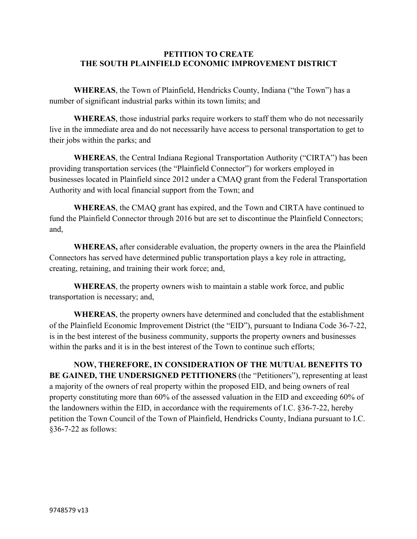## **PETITION TO CREATE THE SOUTH PLAINFIELD ECONOMIC IMPROVEMENT DISTRICT**

**WHEREAS**, the Town of Plainfield, Hendricks County, Indiana ("the Town") has a number of significant industrial parks within its town limits; and

**WHEREAS**, those industrial parks require workers to staff them who do not necessarily live in the immediate area and do not necessarily have access to personal transportation to get to their jobs within the parks; and

**WHEREAS**, the Central Indiana Regional Transportation Authority ("CIRTA") has been providing transportation services (the "Plainfield Connector") for workers employed in businesses located in Plainfield since 2012 under a CMAQ grant from the Federal Transportation Authority and with local financial support from the Town; and

**WHEREAS**, the CMAQ grant has expired, and the Town and CIRTA have continued to fund the Plainfield Connector through 2016 but are set to discontinue the Plainfield Connectors; and,

**WHEREAS,** after considerable evaluation, the property owners in the area the Plainfield Connectors has served have determined public transportation plays a key role in attracting, creating, retaining, and training their work force; and,

**WHEREAS**, the property owners wish to maintain a stable work force, and public transportation is necessary; and,

**WHEREAS**, the property owners have determined and concluded that the establishment of the Plainfield Economic Improvement District (the "EID"), pursuant to Indiana Code 36-7-22, is in the best interest of the business community, supports the property owners and businesses within the parks and it is in the best interest of the Town to continue such efforts;

**NOW, THEREFORE, IN CONSIDERATION OF THE MUTUAL BENEFITS TO BE GAINED, THE UNDERSIGNED PETITIONERS** (the "Petitioners"), representing at least a majority of the owners of real property within the proposed EID, and being owners of real property constituting more than 60% of the assessed valuation in the EID and exceeding 60% of the landowners within the EID, in accordance with the requirements of I.C. §36-7-22, hereby petition the Town Council of the Town of Plainfield, Hendricks County, Indiana pursuant to I.C. §36-7-22 as follows: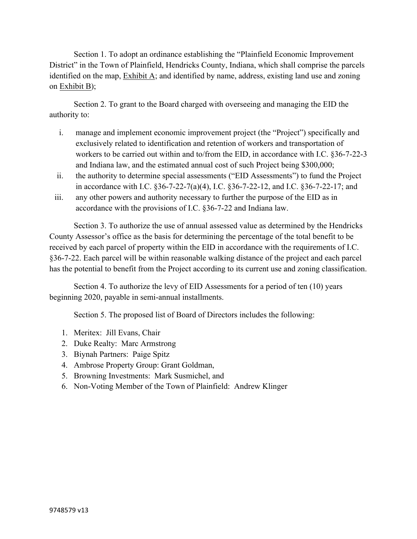Section 1. To adopt an ordinance establishing the "Plainfield Economic Improvement District" in the Town of Plainfield, Hendricks County, Indiana, which shall comprise the parcels identified on the map, Exhibit A; and identified by name, address, existing land use and zoning on Exhibit B);

Section 2. To grant to the Board charged with overseeing and managing the EID the authority to:

- i. manage and implement economic improvement project (the "Project") specifically and exclusively related to identification and retention of workers and transportation of workers to be carried out within and to/from the EID, in accordance with I.C. §36-7-22-3 and Indiana law, and the estimated annual cost of such Project being \$300,000;
- ii. the authority to determine special assessments ("EID Assessments") to fund the Project in accordance with I.C. §36-7-22-7(a)(4), I.C. §36-7-22-12, and I.C. §36-7-22-17; and
- iii. any other powers and authority necessary to further the purpose of the EID as in accordance with the provisions of I.C. §36-7-22 and Indiana law.

Section 3. To authorize the use of annual assessed value as determined by the Hendricks County Assessor's office as the basis for determining the percentage of the total benefit to be received by each parcel of property within the EID in accordance with the requirements of I.C. §36-7-22. Each parcel will be within reasonable walking distance of the project and each parcel has the potential to benefit from the Project according to its current use and zoning classification.

Section 4. To authorize the levy of EID Assessments for a period of ten (10) years beginning 2020, payable in semi-annual installments.

Section 5. The proposed list of Board of Directors includes the following:

- 1. Meritex: Jill Evans, Chair
- 2. Duke Realty: Marc Armstrong
- 3. Biynah Partners: Paige Spitz
- 4. Ambrose Property Group: Grant Goldman,
- 5. Browning Investments: Mark Susmichel, and
- 6. Non-Voting Member of the Town of Plainfield: Andrew Klinger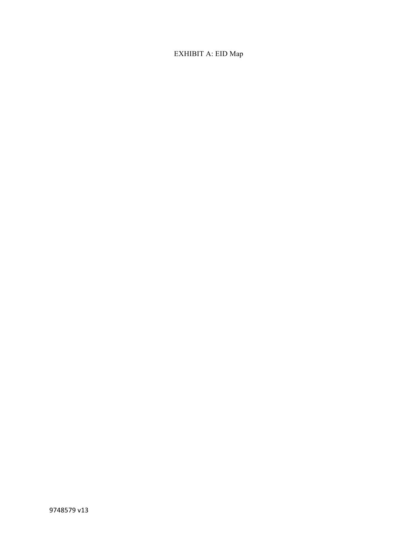## EXHIBIT A: EID Map